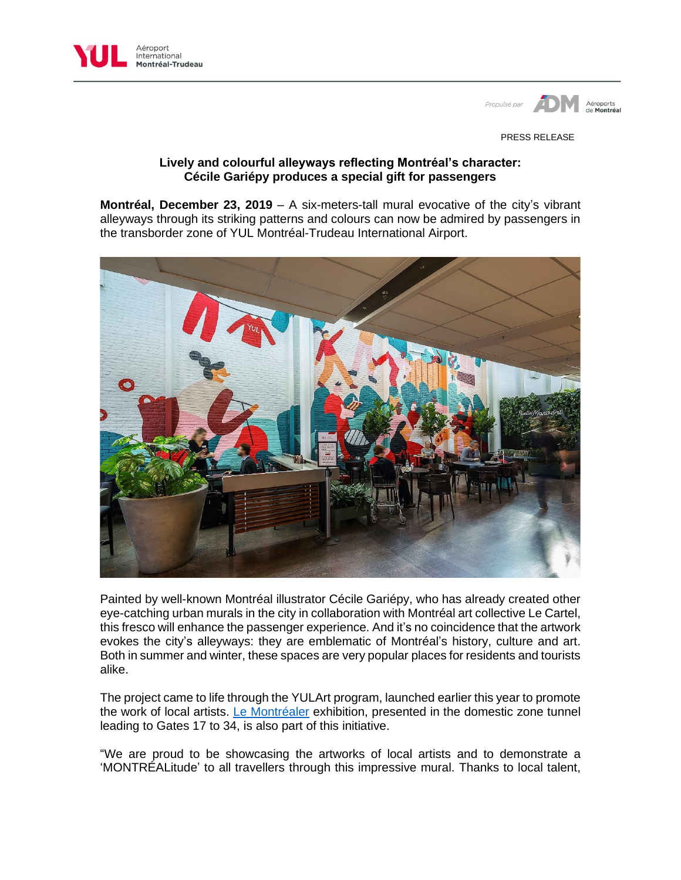



PRESS RELEASE

## **Lively and colourful alleyways reflecting Montréal's character: Cécile Gariépy produces a special gift for passengers**

**Montréal, December 23, 2019** – A six-meters-tall mural evocative of the city's vibrant alleyways through its striking patterns and colours can now be admired by passengers in the transborder zone of YUL Montréal-Trudeau International Airport.



Painted by well-known Montréal illustrator Cécile Gariépy, who has already created other eye-catching urban murals in the city in collaboration with Montréal art collective Le Cartel, this fresco will enhance the passenger experience. And it's no coincidence that the artwork evokes the city's alleyways: they are emblematic of Montréal's history, culture and art. Both in summer and winter, these spaces are very popular places for residents and tourists alike.

The project came to life through the YULArt program, launched earlier this year to promote the work of local artists. [Le Montréaler](https://www.admtl.com/en/node/16926) exhibition, presented in the domestic zone tunnel leading to Gates 17 to 34, is also part of this initiative.

"We are proud to be showcasing the artworks of local artists and to demonstrate a 'MONTRÉALitude' to all travellers through this impressive mural. Thanks to local talent,